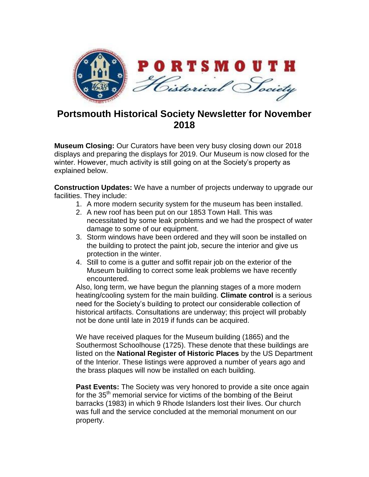

## **Portsmouth Historical Society Newsletter for November 2018**

**Museum Closing:** Our Curators have been very busy closing down our 2018 displays and preparing the displays for 2019. Our Museum is now closed for the winter. However, much activity is still going on at the Society's property as explained below.

**Construction Updates:** We have a number of projects underway to upgrade our facilities. They include:

- 1. A more modern security system for the museum has been installed.
- 2. A new roof has been put on our 1853 Town Hall. This was necessitated by some leak problems and we had the prospect of water damage to some of our equipment.
- 3. Storm windows have been ordered and they will soon be installed on the building to protect the paint job, secure the interior and give us protection in the winter.
- 4. Still to come is a gutter and soffit repair job on the exterior of the Museum building to correct some leak problems we have recently encountered.

Also, long term, we have begun the planning stages of a more modern heating/cooling system for the main building. **Climate control** is a serious need for the Society's building to protect our considerable collection of historical artifacts. Consultations are underway; this project will probably not be done until late in 2019 if funds can be acquired.

We have received plaques for the Museum building (1865) and the Southermost Schoolhouse (1725). These denote that these buildings are listed on the **National Register of Historic Places** by the US Department of the Interior. These listings were approved a number of years ago and the brass plaques will now be installed on each building.

**Past Events:** The Society was very honored to provide a site once again for the 35<sup>th</sup> memorial service for victims of the bombing of the Beirut barracks (1983) in which 9 Rhode Islanders lost their lives. Our church was full and the service concluded at the memorial monument on our property.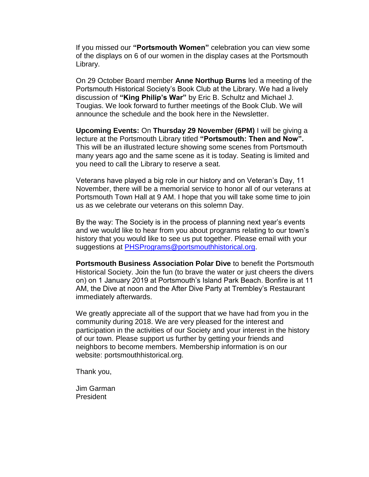If you missed our **"Portsmouth Women"** celebration you can view some of the displays on 6 of our women in the display cases at the Portsmouth Library.

On 29 October Board member **Anne Northup Burns** led a meeting of the Portsmouth Historical Society's Book Club at the Library. We had a lively discussion of **"King Philip's War"** by Eric B. Schultz and Michael J. Tougias. We look forward to further meetings of the Book Club. We will announce the schedule and the book here in the Newsletter.

**Upcoming Events:** On **Thursday 29 November (6PM)** I will be giving a lecture at the Portsmouth Library titled **"Portsmouth: Then and Now".** This will be an illustrated lecture showing some scenes from Portsmouth many years ago and the same scene as it is today. Seating is limited and you need to call the Library to reserve a seat.

Veterans have played a big role in our history and on Veteran's Day, 11 November, there will be a memorial service to honor all of our veterans at Portsmouth Town Hall at 9 AM. I hope that you will take some time to join us as we celebrate our veterans on this solemn Day.

By the way: The Society is in the process of planning next year's events and we would like to hear from you about programs relating to our town's history that you would like to see us put together. Please email with your suggestions at [PHSPrograms@portsmouthhistorical.org.](mailto:PHSPrograms@portsmouthhistorical.org)

**Portsmouth Business Association Polar Dive** to benefit the Portsmouth Historical Society. Join the fun (to brave the water or just cheers the divers on) on 1 January 2019 at Portsmouth's Island Park Beach. Bonfire is at 11 AM, the Dive at noon and the After Dive Party at Trembley's Restaurant immediately afterwards.

We greatly appreciate all of the support that we have had from you in the community during 2018. We are very pleased for the interest and participation in the activities of our Society and your interest in the history of our town. Please support us further by getting your friends and neighbors to become members. Membership information is on our website: portsmouthhistorical.org.

Thank you,

Jim Garman President